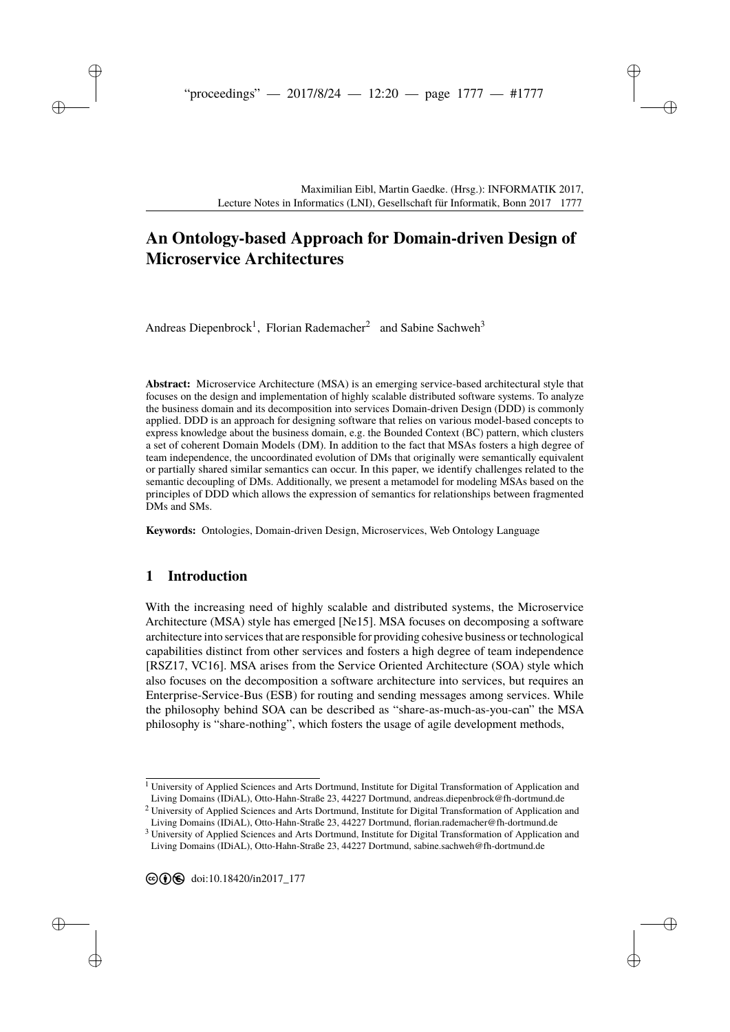# **[A](#page--1-0)n Ontology-based Approach for Domain-driven Design of Microservice Architectures**

Andreas Diepenbrock<sup>1</sup>, Florian Rademacher<sup>2</sup> and Sabine Sachweh<sup>3</sup>

**Abstract:** Microservice Architecture (MSA) is an emerging service-based architectural style that focuses on the design and implementation of highly scalable distributed software systems. To analyze the business domain and its decomposition into services Domain-driven Design (DDD) is commonly applied. DDD is an approach for designing software that relies on various model-based concepts to express knowledge about the business domain, e.g. the Bounded Context (BC) pattern, which clusters a set of coherent Domain Models (DM). In addition to the fact that MSAs fosters a high degree of team independence, the uncoordinated evolution of DMs that originally were semantically equivalent or partially shared similar semantics can occur. In this paper, we identify challenges related to the semantic decoupling of DMs. Additionally, we present a metamodel for modeling MSAs based on the principles of DDD which allows the expression of semantics for relationships between fragmented DMs and SMs.

**Keywords:** Ontologies, Domain-driven Design, Microservices, Web Ontology Language

### **1 Introduction**

With the increasing need of highly scalable and distributed systems, the Microservice Architecture (MSA) style has emerged [\[Ne15\]](#page-13-0). MSA focuses on decomposing a software architecture into services that are responsible for providing cohesive business or technological capabilities distinct from other services and fosters a high degree of team independence [\[RSZ17,](#page-13-1) [VC16\]](#page-13-2). MSA arises from the Service Oriented Architecture (SOA) style which also focuses on the decomposition a software architecture into services, but requires an Enterprise-Service-Bus (ESB) for routing and sending messages among services. While the philosophy behind SOA can be described as "share-as-much-as-you-can" the MSA philosophy is "share-nothing", which fosters the usage of agile development methods,

 $1$  University of Applied Sciences and Arts Dortmund, Institute for Digital Transformation of Application and Living Domains (IDiAL), Otto-Hahn-Straße 23, 44227 Dortmund, andreas.diepenbrock@fh-dortmund.de

<sup>2</sup> University of Applied Sciences and Arts Dortmund, Institute for Digital Transformation of Application and Living Domains (IDiAL), Otto-Hahn-Straße 23, 44227 Dortmund, florian.rademacher@fh-dortmund.de

<sup>&</sup>lt;sup>3</sup> University of Applied Sciences and Arts Dortmund, Institute for Digital Transformation of Application and Living Domains (IDiAL), Otto-Hahn-Straße 23, 44227 Dortmund, sabine.sachweh@fh-dortmund.de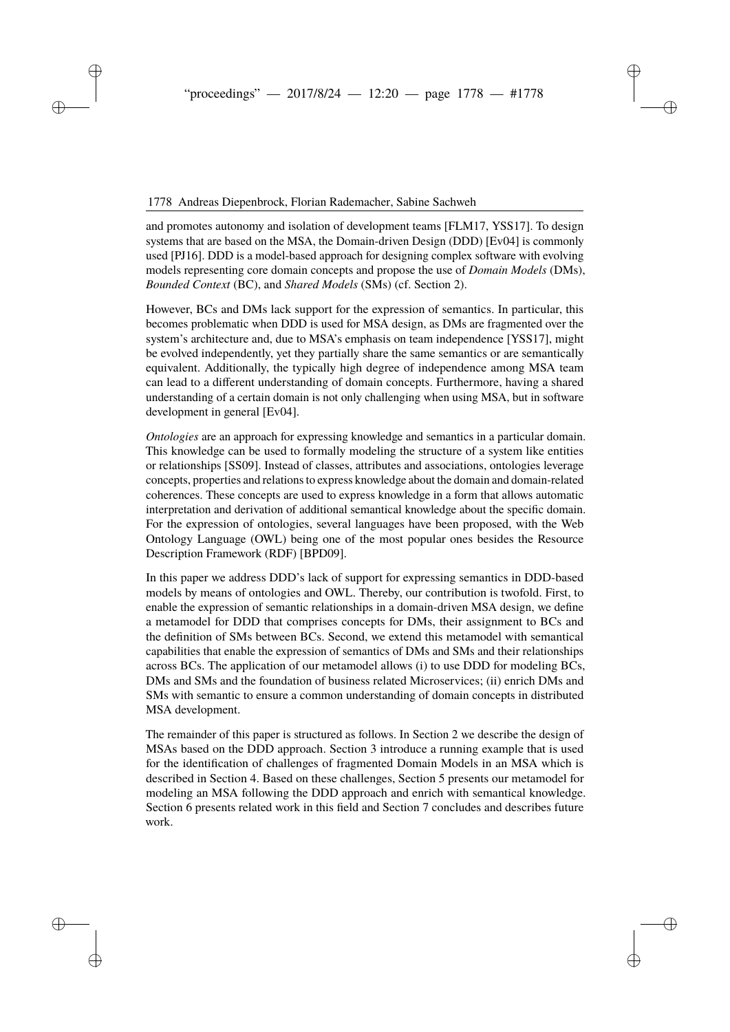and promotes autonomy and isolation of development teams [\[FLM17,](#page-13-3) [YSS17\]](#page-13-4). To design systems that are based on the MSA, the Domain-driven Design (DDD) [\[Ev04\]](#page-12-0) is commonly used [\[PJ16\]](#page-13-5). DDD is a model-based approach for designing complex software with evolving models representing core domain concepts and propose the use of *Domain Models* (DMs), *Bounded Context* (BC), and *Shared Models* (SMs) (cf. Section [2\)](#page-2-0).

However, BCs and DMs lack support for the expression of semantics. In particular, this becomes problematic when DDD is used for MSA design, as DMs are fragmented over the system's architecture and, due to MSA's emphasis on team independence [\[YSS17\]](#page-13-4), might be evolved independently, yet they partially share the same semantics or are semantically equivalent. Additionally, the typically high degree of independence among MSA team can lead to a different understanding of domain concepts. Furthermore, having a shared understanding of a certain domain is not only challenging when using MSA, but in software development in general [\[Ev04\]](#page-12-0).

*Ontologies* are an approach for expressing knowledge and semantics in a particular domain. This knowledge can be used to formally modeling the structure of a system like entities or relationships [\[SS09\]](#page-13-6). Instead of classes, attributes and associations, ontologies leverage concepts, properties and relations to express knowledge about the domain and domain-related coherences. These concepts are used to express knowledge in a form that allows automatic interpretation and derivation of additional semantical knowledge about the specific domain. For the expression of ontologies, several languages have been proposed, with the Web Ontology Language (OWL) being one of the most popular ones besides the Resource Description Framework (RDF) [\[BPD09\]](#page-12-1).

In this paper we address DDD's lack of support for expressing semantics in DDD-based models by means of ontologies and OWL. Thereby, our contribution is twofold. First, to enable the expression of semantic relationships in a domain-driven MSA design, we define a metamodel for DDD that comprises concepts for DMs, their assignment to BCs and the definition of SMs between BCs. Second, we extend this metamodel with semantical capabilities that enable the expression of semantics of DMs and SMs and their relationships across BCs. The application of our metamodel allows (i) to use DDD for modeling BCs, DMs and SMs and the foundation of business related Microservices; (ii) enrich DMs and SMs with semantic to ensure a common understanding of domain concepts in distributed MSA development.

The remainder of this paper is structured as follows. In Section [2](#page-2-0) we describe the design of MSAs based on the DDD approach. Section [3](#page-3-0) introduce a running example that is used for the identification of challenges of fragmented Domain Models in an MSA which is described in Section [4.](#page-5-0) Based on these challenges, Section [5](#page-6-0) presents our metamodel for modeling an MSA following the DDD approach and enrich with semantical knowledge. Section [6](#page-11-0) presents related work in this field and Section [7](#page-12-2) concludes and describes future work.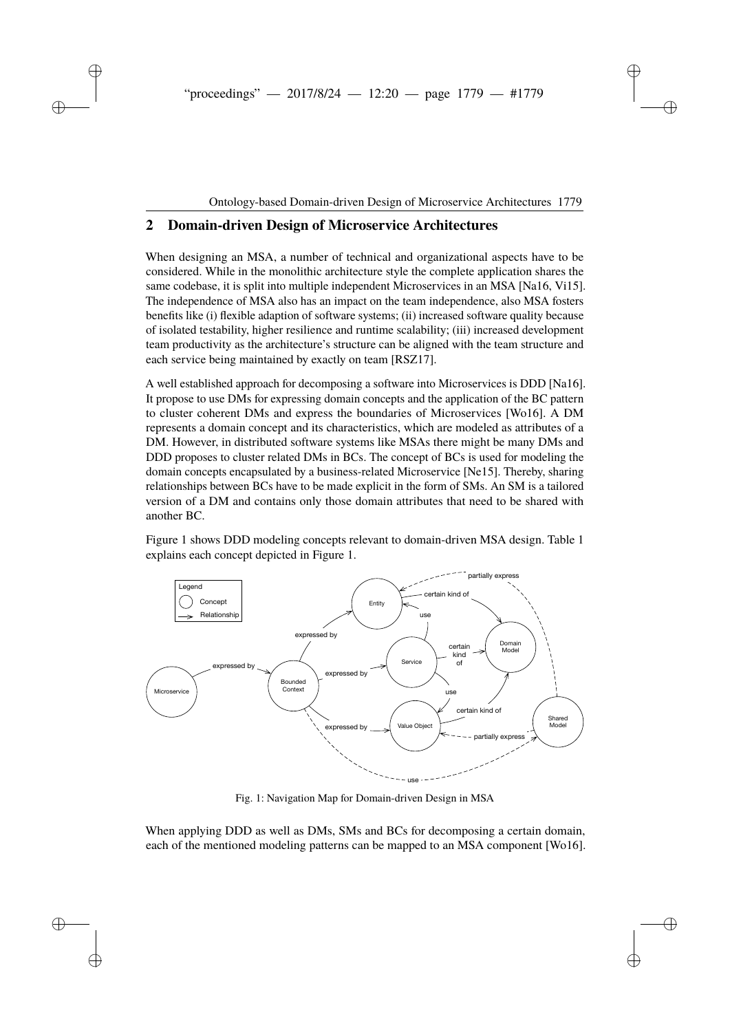## <span id="page-2-0"></span>**2 Domain-driven Design of Microservice Architectures**

When designing an MSA, a number of technical and organizational aspects have to be considered. While in the monolithic architecture style the complete application shares the same codebase, it is split into multiple independent Microservices in an MSA [\[Na16,](#page-13-7) [Vi15\]](#page-13-8). The independence of MSA also has an impact on the team independence, also MSA fosters benefits like (i) flexible adaption of software systems; (ii) increased software quality because of isolated testability, higher resilience and runtime scalability; (iii) increased development team productivity as the architecture's structure can be aligned with the team structure and each service being maintained by exactly on team [\[RSZ17\]](#page-13-1).

A well established approach for decomposing a software into Microservices is DDD [\[Na16\]](#page-13-7). It propose to use DMs for expressing domain concepts and the application of the BC pattern to cluster coherent DMs and express the boundaries of Microservices [\[Wo16\]](#page-13-9). A DM represents a domain concept and its characteristics, which are modeled as attributes of a DM. However, in distributed software systems like MSAs there might be many DMs and DDD proposes to cluster related DMs in BCs. The concept of BCs is used for modeling the domain concepts encapsulated by a business-related Microservice [\[Ne15\]](#page-13-0). Thereby, sharing relationships between BCs have to be made explicit in the form of SMs. An SM is a tailored version of a DM and contains only those domain attributes that need to be shared with another BC.

Figure [1](#page-2-1) shows DDD modeling concepts relevant to domain-driven MSA design. Table [1](#page-3-1) explains each concept depicted in Figure [1.](#page-2-1)

<span id="page-2-1"></span>

Fig. 1: Navigation Map for Domain-driven Design in MSA

When applying DDD as well as DMs, SMs and BCs for decomposing a certain domain, each of the mentioned modeling patterns can be mapped to an MSA component [\[Wo16\]](#page-13-9).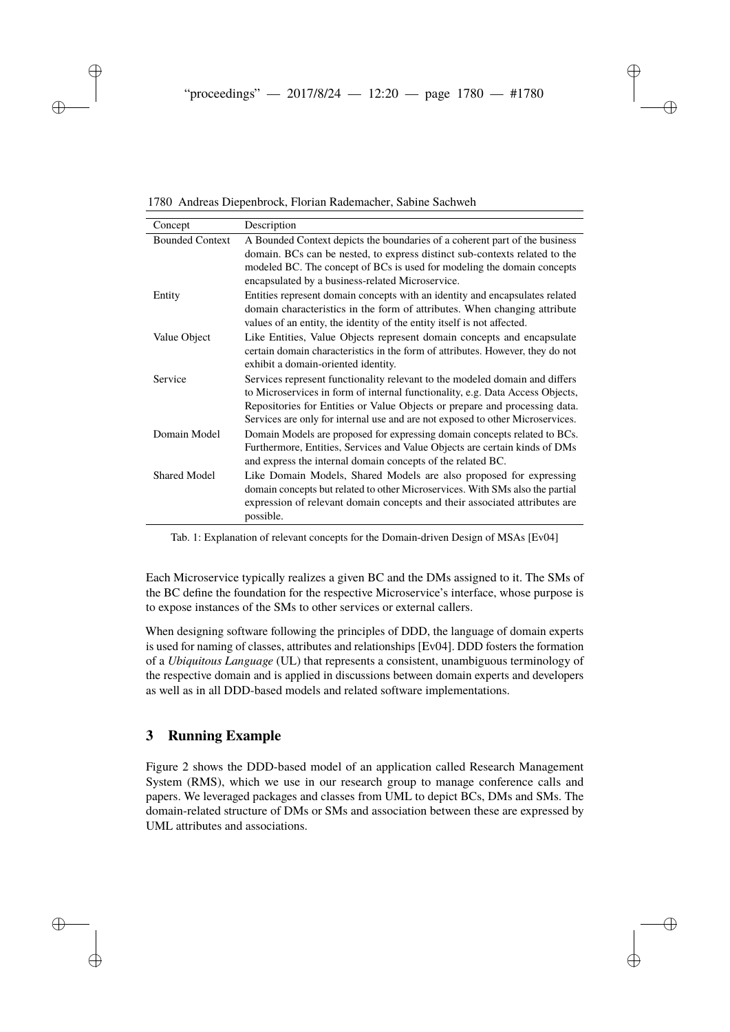<span id="page-3-1"></span>

| Concept                | Description                                                                                                                                                                                                                                                                                                                  |
|------------------------|------------------------------------------------------------------------------------------------------------------------------------------------------------------------------------------------------------------------------------------------------------------------------------------------------------------------------|
| <b>Bounded Context</b> | A Bounded Context depicts the boundaries of a coherent part of the business<br>domain. BCs can be nested, to express distinct sub-contexts related to the<br>modeled BC. The concept of BCs is used for modeling the domain concepts<br>encapsulated by a business-related Microservice.                                     |
| Entity                 | Entities represent domain concepts with an identity and encapsulates related<br>domain characteristics in the form of attributes. When changing attribute<br>values of an entity, the identity of the entity itself is not affected.                                                                                         |
| Value Object           | Like Entities, Value Objects represent domain concepts and encapsulate<br>certain domain characteristics in the form of attributes. However, they do not<br>exhibit a domain-oriented identity.                                                                                                                              |
| Service                | Services represent functionality relevant to the modeled domain and differs<br>to Microservices in form of internal functionality, e.g. Data Access Objects,<br>Repositories for Entities or Value Objects or prepare and processing data.<br>Services are only for internal use and are not exposed to other Microservices. |
| Domain Model           | Domain Models are proposed for expressing domain concepts related to BCs.<br>Furthermore, Entities, Services and Value Objects are certain kinds of DMs<br>and express the internal domain concepts of the related BC.                                                                                                       |
| <b>Shared Model</b>    | Like Domain Models, Shared Models are also proposed for expressing<br>domain concepts but related to other Microservices. With SMs also the partial<br>expression of relevant domain concepts and their associated attributes are<br>possible.                                                                               |

1780 Andreas Diepenbrock, Florian Rademacher, Sabine Sachweh

Tab. 1: Explanation of relevant concepts for the Domain-driven Design of MSAs [\[Ev04\]](#page-12-0)

Each Microservice typically realizes a given BC and the DMs assigned to it. The SMs of the BC define the foundation for the respective Microservice's interface, whose purpose is to expose instances of the SMs to other services or external callers.

When designing software following the principles of DDD, the language of domain experts is used for naming of classes, attributes and relationships [\[Ev04\]](#page-12-0). DDD fosters the formation of a *Ubiquitous Language* (UL) that represents a consistent, unambiguous terminology of the respective domain and is applied in discussions between domain experts and developers as well as in all DDD-based models and related software implementations.

### <span id="page-3-0"></span>**3 Running Example**

Figure [2](#page-4-0) shows the DDD-based model of an application called Research Management System (RMS), which we use in our research group to manage conference calls and papers. We leveraged packages and classes from UML to depict BCs, DMs and SMs. The domain-related structure of DMs or SMs and association between these are expressed by UML attributes and associations.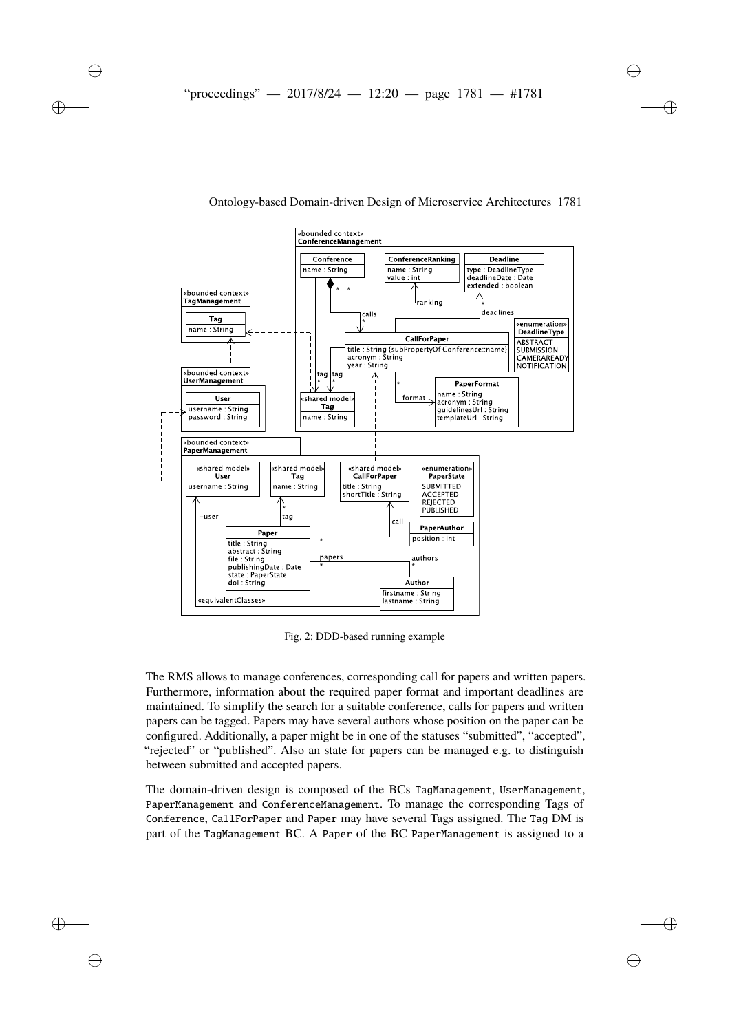<span id="page-4-0"></span>

Fig. 2: DDD-based running example

The RMS allows to manage conferences, corresponding call for papers and written papers. Furthermore, information about the required paper format and important deadlines are maintained. To simplify the search for a suitable conference, calls for papers and written papers can be tagged. Papers may have several authors whose position on the paper can be configured. Additionally, a paper might be in one of the statuses "submitted", "accepted", "rejected" or "published". Also an state for papers can be managed e.g. to distinguish between submitted and accepted papers.

The domain-driven design is composed of the BCs TagManagement, UserManagement, PaperManagement and ConferenceManagement. To manage the corresponding Tags of Conference, CallForPaper and Paper may have several Tags assigned. The Tag DM is part of the TagManagement BC. A Paper of the BC PaperManagement is assigned to a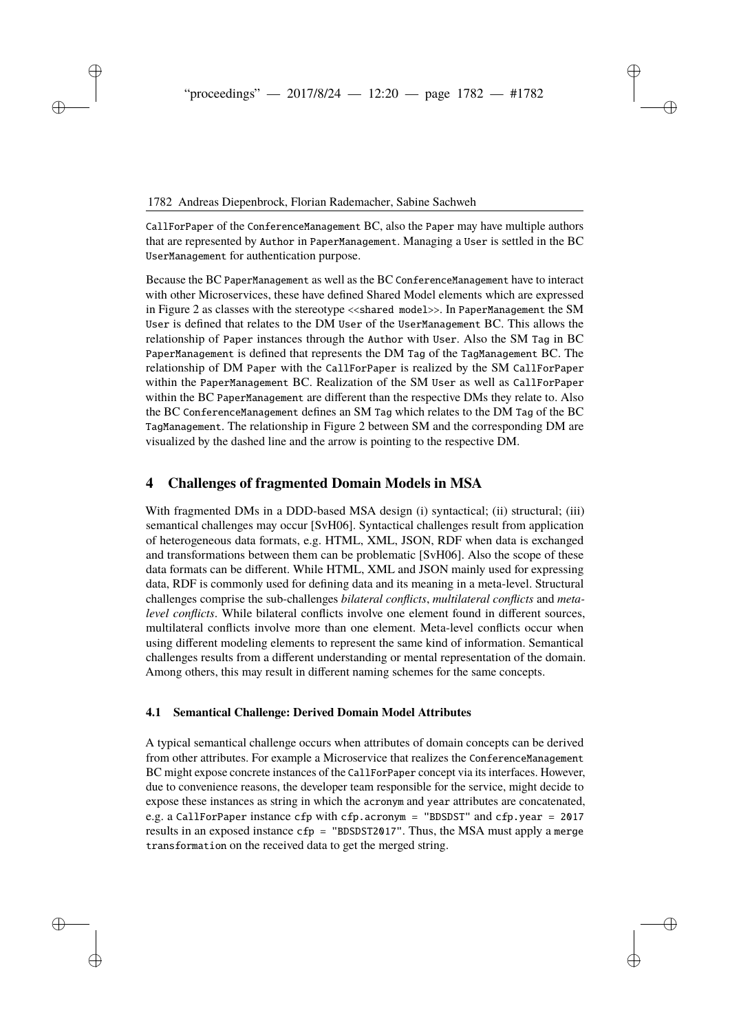CallForPaper of the ConferenceManagement BC, also the Paper may have multiple authors that are represented by Author in PaperManagement. Managing a User is settled in the BC UserManagement for authentication purpose.

Because the BC PaperManagement as well as the BC ConferenceManagement have to interact with other Microservices, these have defined Shared Model elements which are expressed in Figure [2](#page-4-0) as classes with the stereotype <<shared model>>. In PaperManagement the SM User is defined that relates to the DM User of the UserManagement BC. This allows the relationship of Paper instances through the Author with User. Also the SM Tag in BC PaperManagement is defined that represents the DM Tag of the TagManagement BC. The relationship of DM Paper with the CallForPaper is realized by the SM CallForPaper within the PaperManagement BC. Realization of the SM User as well as CallForPaper within the BC PaperManagement are different than the respective DMs they relate to. Also the BC ConferenceManagement defines an SM Tag which relates to the DM Tag of the BC TagManagement. The relationship in Figure [2](#page-4-0) between SM and the corresponding DM are visualized by the dashed line and the arrow is pointing to the respective DM.

### <span id="page-5-0"></span>**4 Challenges of fragmented Domain Models in MSA**

With fragmented DMs in a DDD-based MSA design (i) syntactical; (ii) structural; (iii) semantical challenges may occur [\[SvH06\]](#page-13-10). Syntactical challenges result from application of heterogeneous data formats, e.g. HTML, XML, JSON, RDF when data is exchanged and transformations between them can be problematic [\[SvH06\]](#page-13-10). Also the scope of these data formats can be different. While HTML, XML and JSON mainly used for expressing data, RDF is commonly used for defining data and its meaning in a meta-level. Structural challenges comprise the sub-challenges *bilateral conflicts*, *multilateral conflicts* and *metalevel conflicts*. While bilateral conflicts involve one element found in different sources, multilateral conflicts involve more than one element. Meta-level conflicts occur when using different modeling elements to represent the same kind of information. Semantical challenges results from a different understanding or mental representation of the domain. Among others, this may result in different naming schemes for the same concepts.

#### <span id="page-5-1"></span>**4.1 Semantical Challenge: Derived Domain Model Attributes**

A typical semantical challenge occurs when attributes of domain concepts can be derived from other attributes. For example a Microservice that realizes the ConferenceManagement BC might expose concrete instances of the CallForPaper concept via its interfaces. However, due to convenience reasons, the developer team responsible for the service, might decide to expose these instances as string in which the acronym and year attributes are concatenated, e.g. a CallForPaper instance cfp with cfp.acronym = "BDSDST" and cfp.year =  $2017$ results in an exposed instance  $cfp =$  "BDSDST2017". Thus, the MSA must apply a merge transformation on the received data to get the merged string.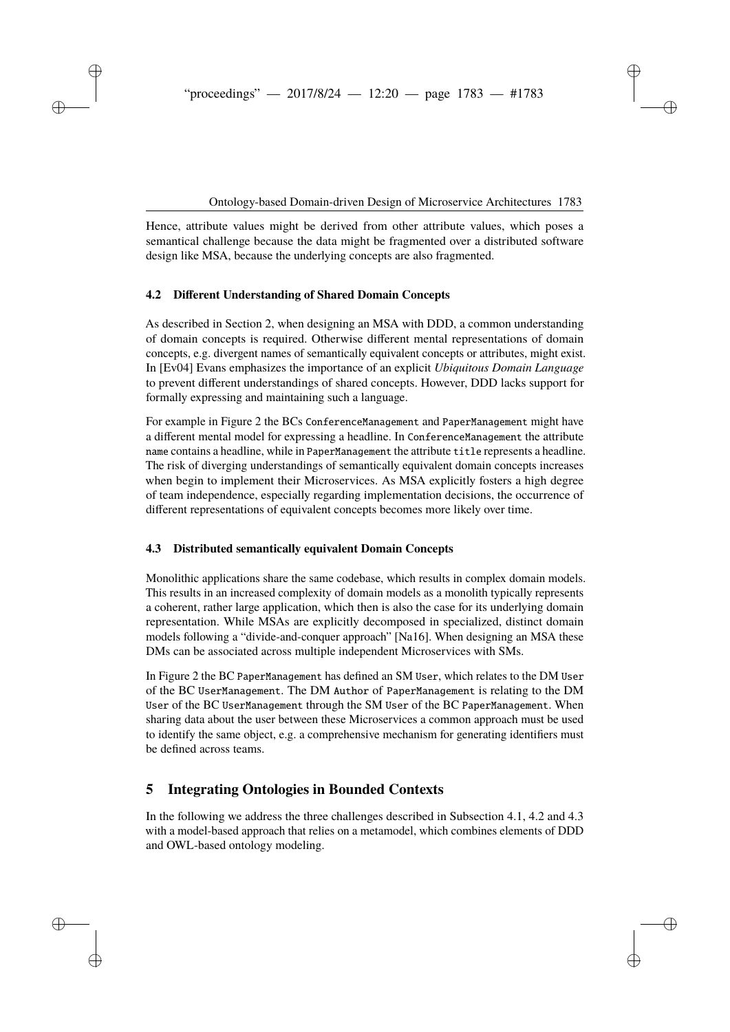Hence, attribute values might be derived from other attribute values, which poses a semantical challenge because the data might be fragmented over a distributed software design like MSA, because the underlying concepts are also fragmented.

#### <span id="page-6-1"></span>**4.2 Different Understanding of Shared Domain Concepts**

As described in Section [2,](#page-2-0) when designing an MSA with DDD, a common understanding of domain concepts is required. Otherwise different mental representations of domain concepts, e.g. divergent names of semantically equivalent concepts or attributes, might exist. In [\[Ev04\]](#page-12-0) Evans emphasizes the importance of an explicit *Ubiquitous Domain Language* to prevent different understandings of shared concepts. However, DDD lacks support for formally expressing and maintaining such a language.

For example in Figure [2](#page-4-0) the BCs ConferenceManagement and PaperManagement might have a different mental model for expressing a headline. In ConferenceManagement the attribute name contains a headline, while in PaperManagement the attribute title represents a headline. The risk of diverging understandings of semantically equivalent domain concepts increases when begin to implement their Microservices. As MSA explicitly fosters a high degree of team independence, especially regarding implementation decisions, the occurrence of different representations of equivalent concepts becomes more likely over time.

#### <span id="page-6-2"></span>**4.3 Distributed semantically equivalent Domain Concepts**

Monolithic applications share the same codebase, which results in complex domain models. This results in an increased complexity of domain models as a monolith typically represents a coherent, rather large application, which then is also the case for its underlying domain representation. While MSAs are explicitly decomposed in specialized, distinct domain models following a "divide-and-conquer approach" [\[Na16\]](#page-13-7). When designing an MSA these DMs can be associated across multiple independent Microservices with SMs.

In Figure [2](#page-4-0) the BC PaperManagement has defined an SM User, which relates to the DM User of the BC UserManagement. The DM Author of PaperManagement is relating to the DM User of the BC UserManagement through the SM User of the BC PaperManagement. When sharing data about the user between these Microservices a common approach must be used to identify the same object, e.g. a comprehensive mechanism for generating identifiers must be defined across teams.

# <span id="page-6-0"></span>**5 Integrating Ontologies in Bounded Contexts**

In the following we address the three challenges described in Subsection [4.1,](#page-5-1) [4.2](#page-6-1) and [4.3](#page-6-2) with a model-based approach that relies on a metamodel, which combines elements of DDD and OWL-based ontology modeling.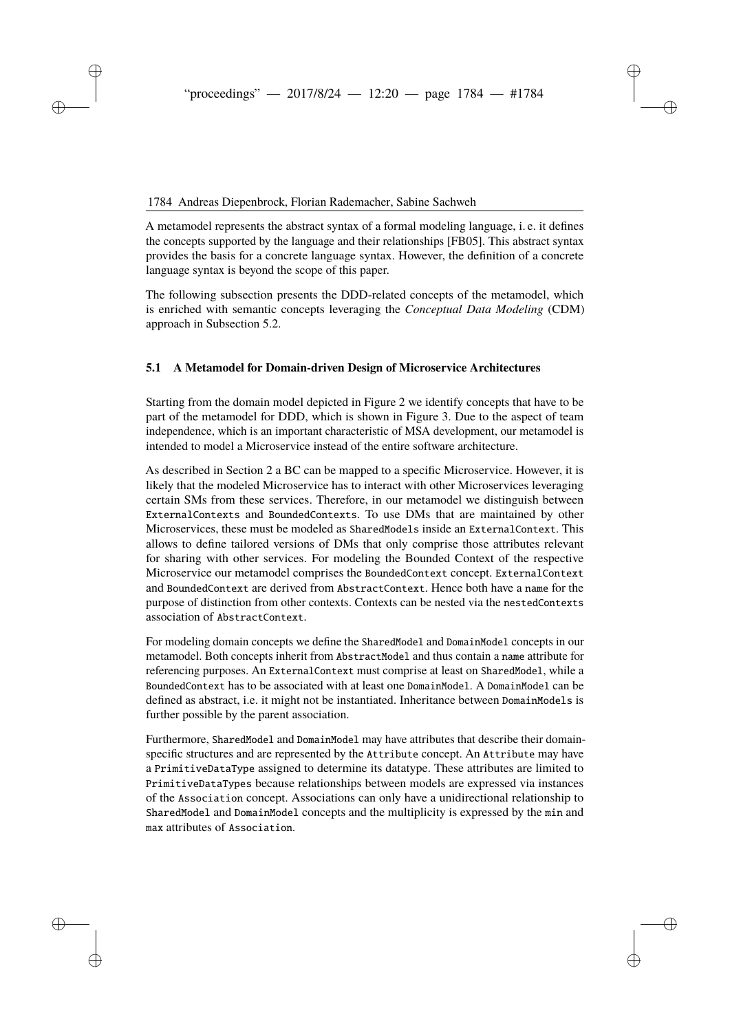A metamodel represents the abstract syntax of a formal modeling language, i. e. it defines the concepts supported by the language and their relationships [\[FB05\]](#page-12-3). This abstract syntax provides the basis for a concrete language syntax. However, the definition of a concrete language syntax is beyond the scope of this paper.

The following subsection presents the DDD-related concepts of the metamodel, which is enriched with semantic concepts leveraging the *Conceptual Data Modeling* (CDM) approach in Subsection [5.2.](#page-8-0)

#### <span id="page-7-0"></span>**5.1 A Metamodel for Domain-driven Design of Microservice Architectures**

Starting from the domain model depicted in Figure [2](#page-4-0) we identify concepts that have to be part of the metamodel for DDD, which is shown in Figure [3.](#page-8-1) Due to the aspect of team independence, which is an important characteristic of MSA development, our metamodel is intended to model a Microservice instead of the entire software architecture.

As described in Section [2](#page-2-0) a BC can be mapped to a specific Microservice. However, it is likely that the modeled Microservice has to interact with other Microservices leveraging certain SMs from these services. Therefore, in our metamodel we distinguish between ExternalContexts and BoundedContexts. To use DMs that are maintained by other Microservices, these must be modeled as SharedModels inside an ExternalContext. This allows to define tailored versions of DMs that only comprise those attributes relevant for sharing with other services. For modeling the Bounded Context of the respective Microservice our metamodel comprises the BoundedContext concept. ExternalContext and BoundedContext are derived from AbstractContext. Hence both have a name for the purpose of distinction from other contexts. Contexts can be nested via the nestedContexts association of AbstractContext.

For modeling domain concepts we define the SharedModel and DomainModel concepts in our metamodel. Both concepts inherit from AbstractModel and thus contain a name attribute for referencing purposes. An ExternalContext must comprise at least on SharedModel, while a BoundedContext has to be associated with at least one DomainModel. A DomainModel can be defined as abstract, i.e. it might not be instantiated. Inheritance between DomainModels is further possible by the parent association.

Furthermore, SharedModel and DomainModel may have attributes that describe their domainspecific structures and are represented by the Attribute concept. An Attribute may have a PrimitiveDataType assigned to determine its datatype. These attributes are limited to PrimitiveDataTypes because relationships between models are expressed via instances of the Association concept. Associations can only have a unidirectional relationship to SharedModel and DomainModel concepts and the multiplicity is expressed by the min and max attributes of Association.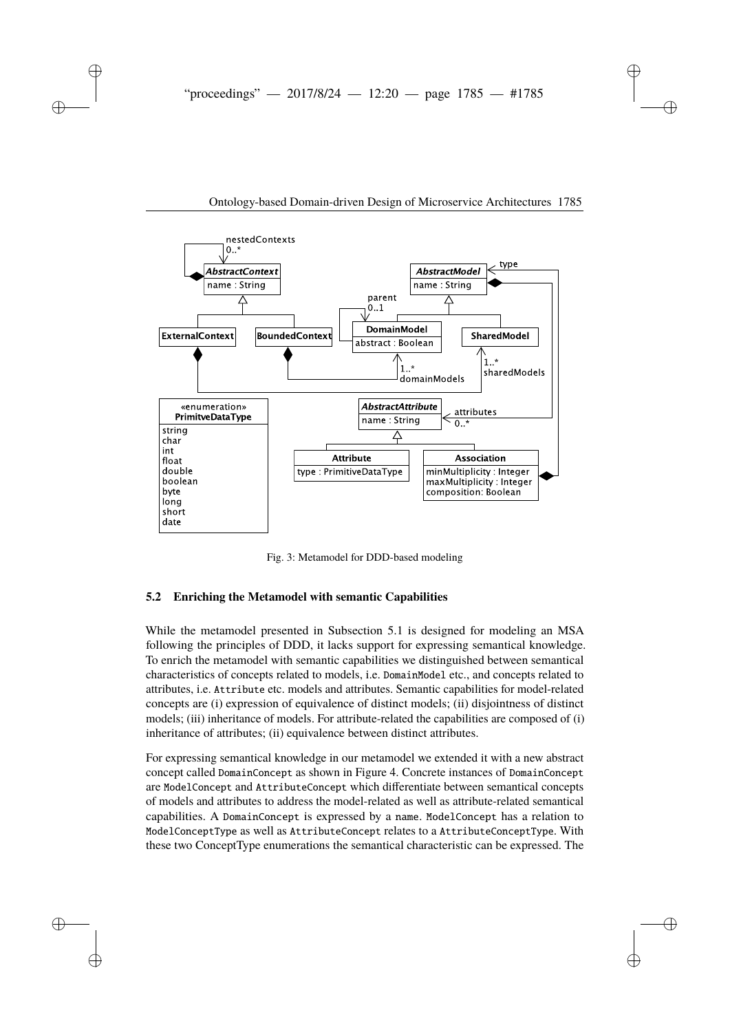<span id="page-8-1"></span>

Fig. 3: Metamodel for DDD-based modeling

#### <span id="page-8-0"></span>**5.2 Enriching the Metamodel with semantic Capabilities**

While the metamodel presented in Subsection [5.1](#page-7-0) is designed for modeling an MSA following the principles of DDD, it lacks support for expressing semantical knowledge. To enrich the metamodel with semantic capabilities we distinguished between semantical characteristics of concepts related to models, i.e. DomainModel etc., and concepts related to attributes, i.e. Attribute etc. models and attributes. Semantic capabilities for model-related concepts are (i) expression of equivalence of distinct models; (ii) disjointness of distinct models; (iii) inheritance of models. For attribute-related the capabilities are composed of (i) inheritance of attributes; (ii) equivalence between distinct attributes.

For expressing semantical knowledge in our metamodel we extended it with a new abstract concept called DomainConcept as shown in Figure [4.](#page-9-0) Concrete instances of DomainConcept are ModelConcept and AttributeConcept which differentiate between semantical concepts of models and attributes to address the model-related as well as attribute-related semantical capabilities. A DomainConcept is expressed by a name. ModelConcept has a relation to ModelConceptType as well as AttributeConcept relates to a AttributeConceptType. With these two ConceptType enumerations the semantical characteristic can be expressed. The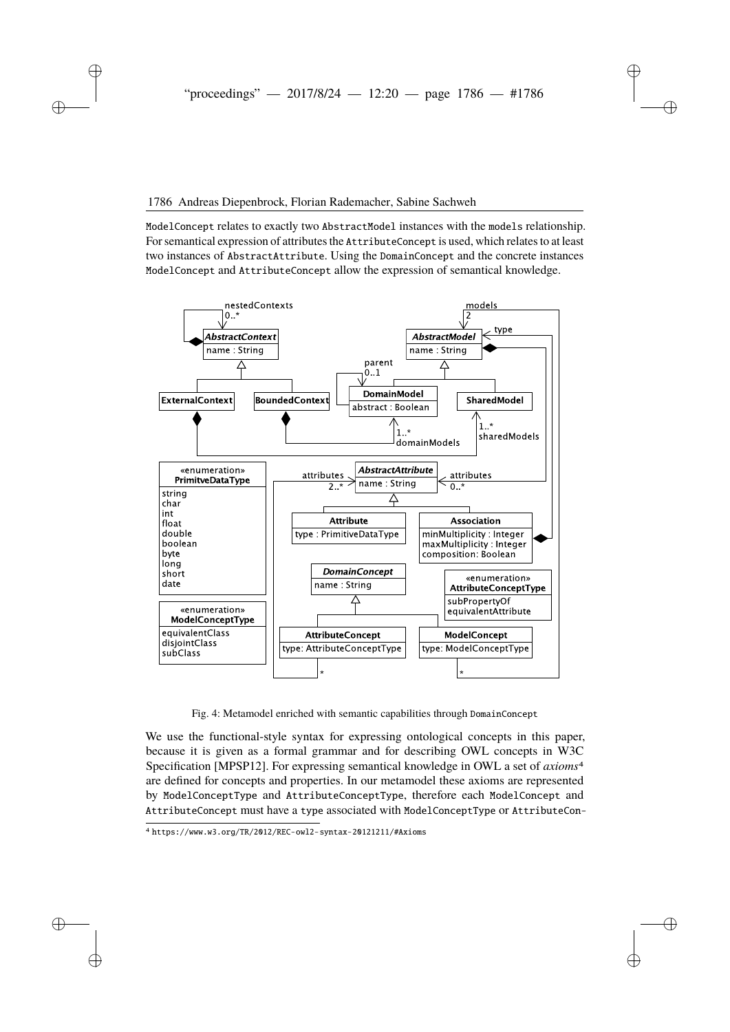#### 1786 Andreas Diepenbrock, Florian Rademacher, Sabine Sachweh

ModelConcept relates to exactly two AbstractModel instances with the models relationship. For semantical expression of attributes the AttributeConcept is used, which relates to at least two instances of AbstractAttribute. Using the DomainConcept and the concrete instances ModelConcept and AttributeConcept allow the expression of semantical knowledge.

<span id="page-9-0"></span>

Fig. 4: Metamodel enriched with semantic capabilities through DomainConcept

We use the functional-style syntax for expressing ontological concepts in this paper, because it is given as a formal grammar and for describing OWL concepts in W3C Specification [\[MPSP12\]](#page-13-11). For expressing semantical knowledge in OWL a set of *axioms*[4](#page-9-1) are defined for concepts and properties. In our metamodel these axioms are represented by ModelConceptType and AttributeConceptType, therefore each ModelConcept and AttributeConcept must have a type associated with ModelConceptType or AttributeCon-

<span id="page-9-1"></span><sup>4</sup> <https://www.w3.org/TR/2012/REC-owl2-syntax-20121211/#Axioms>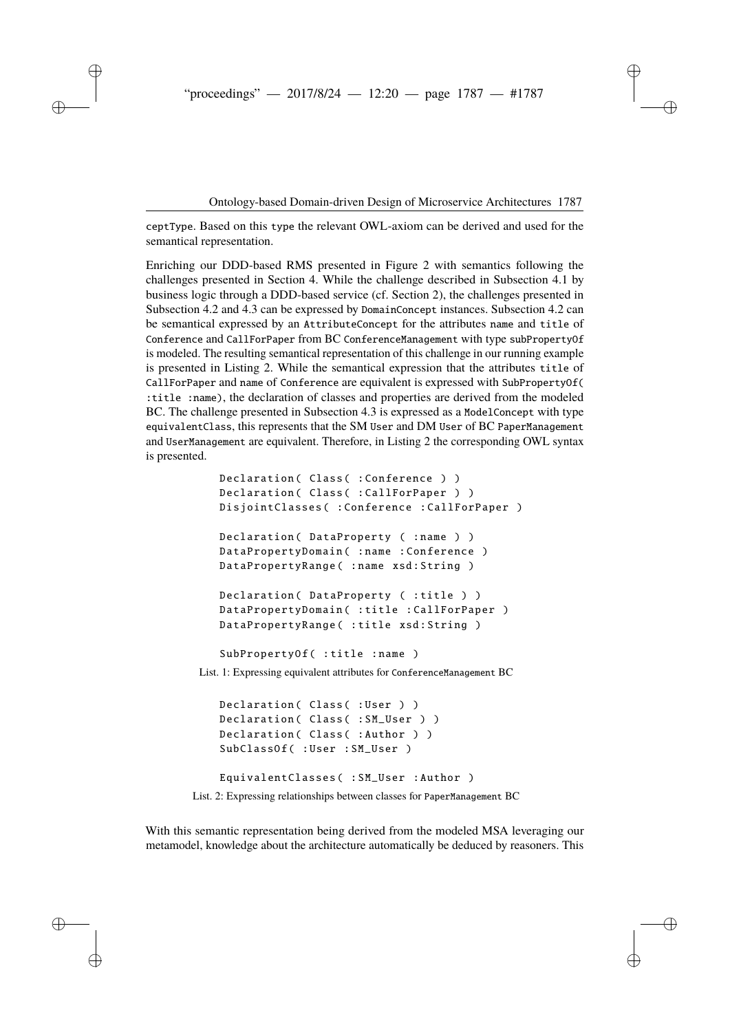ceptType. Based on this type the relevant OWL-axiom can be derived and used for the semantical representation.

Enriching our DDD-based RMS presented in Figure [2](#page-4-0) with semantics following the challenges presented in Section [4.](#page-5-0) While the challenge described in Subsection [4.1](#page-5-1) by business logic through a DDD-based service (cf. Section [2\)](#page-2-0), the challenges presented in Subsection [4.2](#page-6-1) and [4.3](#page-6-2) can be expressed by DomainConcept instances. Subsection [4.2](#page-6-1) can be semantical expressed by an AttributeConcept for the attributes name and title of Conference and CallForPaper from BC ConferenceManagement with type subPropertyOf is modeled. The resulting semantical representation of this challenge in our running example is presented in Listing [2.](#page-10-0) While the semantical expression that the attributes title of CallForPaper and name of Conference are equivalent is expressed with SubPropertyOf( :title :name), the declaration of classes and properties are derived from the modeled BC. The challenge presented in Subsection [4.3](#page-6-2) is expressed as a ModelConcept with type equivalentClass, this represents that the SM User and DM User of BC PaperManagement and UserManagement are equivalent. Therefore, in Listing [2](#page-10-0) the corresponding OWL syntax is presented.

```
Declaration ( Class ( : Conference ) )
   Declaration ( Class ( : CallForPaper ) )
   DisjointClasses ( : Conference : CallForPaper )
   Declaration ( DataProperty ( :name ) )
   DataPropertyDomain ( : name : Conference )
   DataPropertyRange ( : name xsd: String )
   Declaration ( DataProperty ( :title ) )
   DataPropertyDomain ( : title : CallForPaper )
   DataPropertyRange (: title xsd: String)
   SubPropertyOf (: title : name)
List. 1: Expressing equivalent attributes for ConferenceManagement BC
   Declaration ( Class ( : User ) )
   Declaration ( Class ( : SM_User ) )
   Declaration ( Class ( : Author ) )
   SubClassOf( : User : SM_User )
```

```
List. 2: Expressing relationships between classes for PaperManagement BC
```
EquivalentClasses ( : SM\_User : Author )

With this semantic representation being derived from the modeled MSA leveraging our metamodel, knowledge about the architecture automatically be deduced by reasoners. This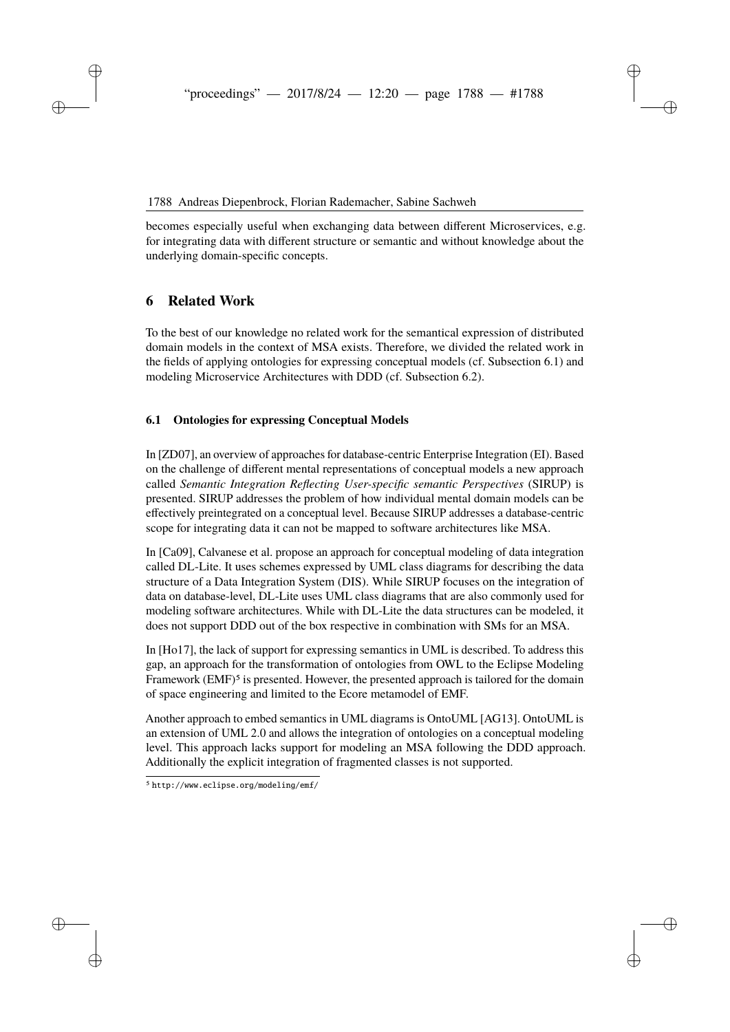becomes especially useful when exchanging data between different Microservices, e.g. for integrating data with different structure or semantic and without knowledge about the underlying domain-specific concepts.

# <span id="page-11-0"></span>**6 Related Work**

To the best of our knowledge no related work for the semantical expression of distributed domain models in the context of MSA exists. Therefore, we divided the related work in the fields of applying ontologies for expressing conceptual models (cf. Subsection [6.1\)](#page-11-1) and modeling Microservice Architectures with DDD (cf. Subsection [6.2\)](#page-12-4).

#### <span id="page-11-1"></span>**6.1 Ontologies for expressing Conceptual Models**

In [\[ZD07\]](#page-14-0), an overview of approaches for database-centric Enterprise Integration (EI). Based on the challenge of different mental representations of conceptual models a new approach called *Semantic Integration Reflecting User-specific semantic Perspectives* (SIRUP) is presented. SIRUP addresses the problem of how individual mental domain models can be effectively preintegrated on a conceptual level. Because SIRUP addresses a database-centric scope for integrating data it can not be mapped to software architectures like MSA.

In [\[Ca09\]](#page-12-5), Calvanese et al. propose an approach for conceptual modeling of data integration called DL-Lite. It uses schemes expressed by UML class diagrams for describing the data structure of a Data Integration System (DIS). While SIRUP focuses on the integration of data on database-level, DL-Lite uses UML class diagrams that are also commonly used for modeling software architectures. While with DL-Lite the data structures can be modeled, it does not support DDD out of the box respective in combination with SMs for an MSA.

In [\[Ho17\]](#page-13-12), the lack of support for expressing semantics in UML is described. To address this gap, an approach for the transformation of ontologies from OWL to the Eclipse Modeling Framework  $(EMF)^5$  $(EMF)^5$  is presented. However, the presented approach is tailored for the domain of space engineering and limited to the Ecore metamodel of EMF.

Another approach to embed semantics in UML diagrams is OntoUML [\[AG13\]](#page-12-6). OntoUML is an extension of UML 2.0 and allows the integration of ontologies on a conceptual modeling level. This approach lacks support for modeling an MSA following the DDD approach. Additionally the explicit integration of fragmented classes is not supported.

<span id="page-11-2"></span><sup>5</sup> <http://www.eclipse.org/modeling/emf/>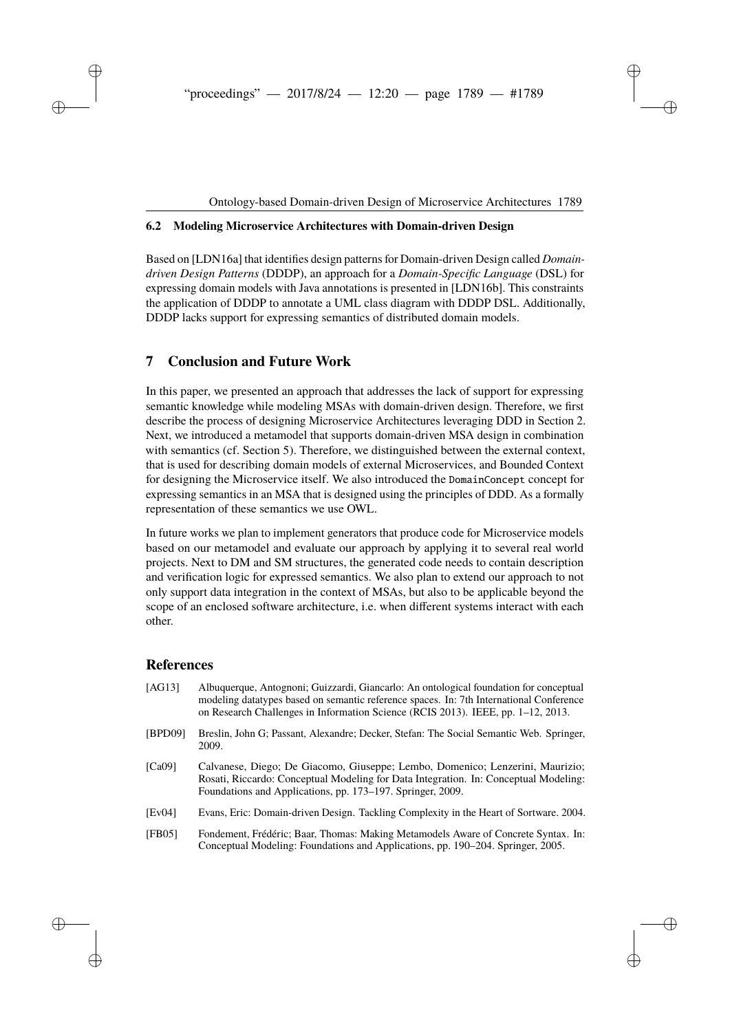#### <span id="page-12-4"></span>**6.2 Modeling Microservice Architectures with Domain-driven Design**

Based on [\[LDN16a\]](#page-13-13) that identifies design patterns for Domain-driven Design called *Domaindriven Design Patterns* (DDDP), an approach for a *Domain-Specific Language* (DSL) for expressing domain models with Java annotations is presented in [\[LDN16b\]](#page-13-14). This constraints the application of DDDP to annotate a UML class diagram with DDDP DSL. Additionally, DDDP lacks support for expressing semantics of distributed domain models.

# <span id="page-12-2"></span>**7 Conclusion and Future Work**

In this paper, we presented an approach that addresses the lack of support for expressing semantic knowledge while modeling MSAs with domain-driven design. Therefore, we first describe the process of designing Microservice Architectures leveraging DDD in Section [2.](#page-2-0) Next, we introduced a metamodel that supports domain-driven MSA design in combination with semantics (cf. Section [5\)](#page-6-0). Therefore, we distinguished between the external context, that is used for describing domain models of external Microservices, and Bounded Context for designing the Microservice itself. We also introduced the DomainConcept concept for expressing semantics in an MSA that is designed using the principles of DDD. As a formally representation of these semantics we use OWL.

In future works we plan to implement generators that produce code for Microservice models based on our metamodel and evaluate our approach by applying it to several real world projects. Next to DM and SM structures, the generated code needs to contain description and verification logic for expressed semantics. We also plan to extend our approach to not only support data integration in the context of MSAs, but also to be applicable beyond the scope of an enclosed software architecture, i.e. when different systems interact with each other.

### **References**

<span id="page-12-6"></span><span id="page-12-5"></span><span id="page-12-3"></span><span id="page-12-1"></span><span id="page-12-0"></span>

| [AG13]  | Albuquerque, Antognoni; Guizzardi, Giancarlo: An ontological foundation for conceptual<br>modeling datatypes based on semantic reference spaces. In: 7th International Conference<br>on Research Challenges in Information Science (RCIS 2013). IEEE, pp. 1–12, 2013. |
|---------|-----------------------------------------------------------------------------------------------------------------------------------------------------------------------------------------------------------------------------------------------------------------------|
| [BPD09] | Breslin, John G; Passant, Alexandre; Decker, Stefan: The Social Semantic Web. Springer,<br>2009.                                                                                                                                                                      |
| [Ca09]  | Calvanese, Diego; De Giacomo, Giuseppe; Lembo, Domenico; Lenzerini, Maurizio;<br>Rosati, Riccardo: Conceptual Modeling for Data Integration. In: Conceptual Modeling:<br>Foundations and Applications, pp. 173–197. Springer, 2009.                                   |
| [Ev04]  | Evans, Eric: Domain-driven Design. Tackling Complexity in the Heart of Sortware. 2004.                                                                                                                                                                                |
| [FB05]  | Fondement, Frédéric; Baar, Thomas: Making Metamodels Aware of Concrete Syntax. In:<br>Conceptual Modeling: Foundations and Applications, pp. 190–204. Springer, 2005.                                                                                                 |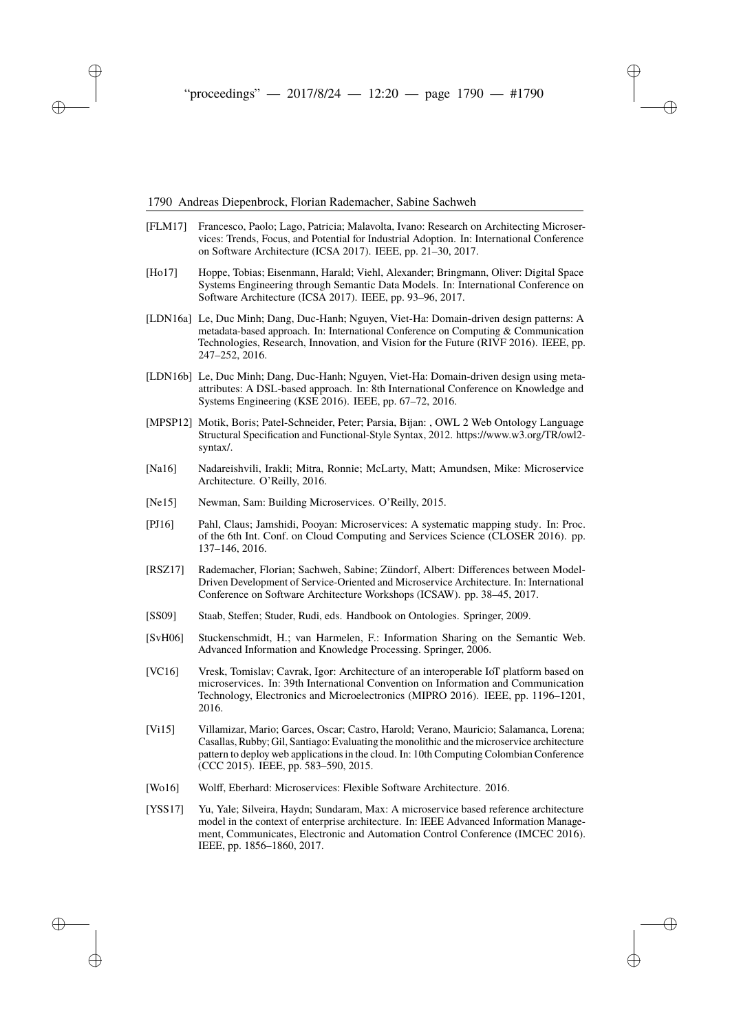#### 1790 Andreas Diepenbrock, Florian Rademacher, Sabine Sachweh

- <span id="page-13-3"></span>[FLM17] Francesco, Paolo; Lago, Patricia; Malavolta, Ivano: Research on Architecting Microservices: Trends, Focus, and Potential for Industrial Adoption. In: International Conference on Software Architecture (ICSA 2017). IEEE, pp. 21–30, 2017.
- <span id="page-13-12"></span>[Ho17] Hoppe, Tobias; Eisenmann, Harald; Viehl, Alexander; Bringmann, Oliver: Digital Space Systems Engineering through Semantic Data Models. In: International Conference on Software Architecture (ICSA 2017). IEEE, pp. 93–96, 2017.
- <span id="page-13-13"></span>[LDN16a] Le, Duc Minh; Dang, Duc-Hanh; Nguyen, Viet-Ha: Domain-driven design patterns: A metadata-based approach. In: International Conference on Computing & Communication Technologies, Research, Innovation, and Vision for the Future (RIVF 2016). IEEE, pp. 247–252, 2016.
- <span id="page-13-14"></span>[LDN16b] Le, Duc Minh; Dang, Duc-Hanh; Nguyen, Viet-Ha: Domain-driven design using metaattributes: A DSL-based approach. In: 8th International Conference on Knowledge and Systems Engineering (KSE 2016). IEEE, pp. 67–72, 2016.
- <span id="page-13-11"></span>[MPSP12] Motik, Boris; Patel-Schneider, Peter; Parsia, Bijan: , OWL 2 Web Ontology Language Structural Specification and Functional-Style Syntax, 2012. https://www.w3.org/TR/owl2 syntax/.
- <span id="page-13-7"></span>[Na16] Nadareishvili, Irakli; Mitra, Ronnie; McLarty, Matt; Amundsen, Mike: Microservice Architecture. O'Reilly, 2016.
- <span id="page-13-0"></span>[Ne15] Newman, Sam: Building Microservices. O'Reilly, 2015.
- <span id="page-13-5"></span>[PJ16] Pahl, Claus; Jamshidi, Pooyan: Microservices: A systematic mapping study. In: Proc. of the 6th Int. Conf. on Cloud Computing and Services Science (CLOSER 2016). pp. 137–146, 2016.
- <span id="page-13-1"></span>[RSZ17] Rademacher, Florian; Sachweh, Sabine; Zündorf, Albert: Differences between Model-Driven Development of Service-Oriented and Microservice Architecture. In: International Conference on Software Architecture Workshops (ICSAW). pp. 38–45, 2017.
- <span id="page-13-6"></span>[SS09] Staab, Steffen; Studer, Rudi, eds. Handbook on Ontologies. Springer, 2009.
- <span id="page-13-10"></span>[SvH06] Stuckenschmidt, H.; van Harmelen, F.: Information Sharing on the Semantic Web. Advanced Information and Knowledge Processing. Springer, 2006.
- <span id="page-13-2"></span>[VC16] Vresk, Tomislav; Cavrak, Igor: Architecture of an interoperable IoT platform based on microservices. In: 39th International Convention on Information and Communication Technology, Electronics and Microelectronics (MIPRO 2016). IEEE, pp. 1196–1201, 2016.
- <span id="page-13-8"></span>[Vi15] Villamizar, Mario; Garces, Oscar; Castro, Harold; Verano, Mauricio; Salamanca, Lorena; Casallas, Rubby; Gil, Santiago: Evaluating the monolithic and the microservice architecture pattern to deploy web applications in the cloud. In: 10th Computing Colombian Conference (CCC 2015). IEEE, pp. 583–590, 2015.
- <span id="page-13-9"></span>[Wo16] Wolff, Eberhard: Microservices: Flexible Software Architecture. 2016.
- <span id="page-13-4"></span>[YSS17] Yu, Yale; Silveira, Haydn; Sundaram, Max: A microservice based reference architecture model in the context of enterprise architecture. In: IEEE Advanced Information Management, Communicates, Electronic and Automation Control Conference (IMCEC 2016). IEEE, pp. 1856–1860, 2017.